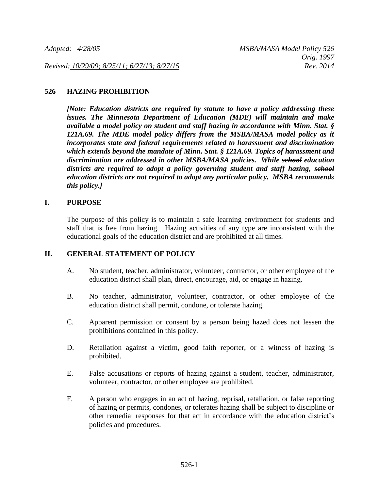*Revised: 10/29/09; 8/25/11; 6/27/13; 8/27/15 Rev. 2014*

### **526 HAZING PROHIBITION**

*[Note: Education districts are required by statute to have a policy addressing these issues. The Minnesota Department of Education (MDE) will maintain and make available a model policy on student and staff hazing in accordance with Minn. Stat. § 121A.69. The MDE model policy differs from the MSBA/MASA model policy as it incorporates state and federal requirements related to harassment and discrimination which extends beyond the mandate of Minn. Stat. § 121A.69. Topics of harassment and discrimination are addressed in other MSBA/MASA policies. While school education districts are required to adopt a policy governing student and staff hazing, school education districts are not required to adopt any particular policy. MSBA recommends this policy.]*

### **I. PURPOSE**

The purpose of this policy is to maintain a safe learning environment for students and staff that is free from hazing. Hazing activities of any type are inconsistent with the educational goals of the education district and are prohibited at all times.

## **II. GENERAL STATEMENT OF POLICY**

- A. No student, teacher, administrator, volunteer, contractor, or other employee of the education district shall plan, direct, encourage, aid, or engage in hazing.
- B. No teacher, administrator, volunteer, contractor, or other employee of the education district shall permit, condone, or tolerate hazing.
- C. Apparent permission or consent by a person being hazed does not lessen the prohibitions contained in this policy.
- D. Retaliation against a victim, good faith reporter, or a witness of hazing is prohibited.
- E. False accusations or reports of hazing against a student, teacher, administrator, volunteer, contractor, or other employee are prohibited.
- F. A person who engages in an act of hazing, reprisal, retaliation, or false reporting of hazing or permits, condones, or tolerates hazing shall be subject to discipline or other remedial responses for that act in accordance with the education district's policies and procedures.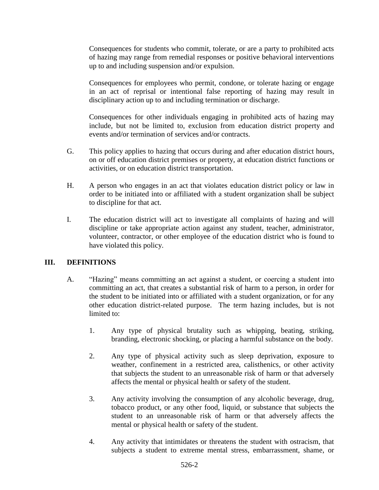Consequences for students who commit, tolerate, or are a party to prohibited acts of hazing may range from remedial responses or positive behavioral interventions up to and including suspension and/or expulsion.

Consequences for employees who permit, condone, or tolerate hazing or engage in an act of reprisal or intentional false reporting of hazing may result in disciplinary action up to and including termination or discharge.

Consequences for other individuals engaging in prohibited acts of hazing may include, but not be limited to, exclusion from education district property and events and/or termination of services and/or contracts.

- G. This policy applies to hazing that occurs during and after education district hours, on or off education district premises or property, at education district functions or activities, or on education district transportation.
- H. A person who engages in an act that violates education district policy or law in order to be initiated into or affiliated with a student organization shall be subject to discipline for that act.
- I. The education district will act to investigate all complaints of hazing and will discipline or take appropriate action against any student, teacher, administrator, volunteer, contractor, or other employee of the education district who is found to have violated this policy.

# **III. DEFINITIONS**

- A. "Hazing" means committing an act against a student, or coercing a student into committing an act, that creates a substantial risk of harm to a person, in order for the student to be initiated into or affiliated with a student organization, or for any other education district-related purpose. The term hazing includes, but is not limited to:
	- 1. Any type of physical brutality such as whipping, beating, striking, branding, electronic shocking, or placing a harmful substance on the body.
	- 2. Any type of physical activity such as sleep deprivation, exposure to weather, confinement in a restricted area, calisthenics, or other activity that subjects the student to an unreasonable risk of harm or that adversely affects the mental or physical health or safety of the student.
	- 3. Any activity involving the consumption of any alcoholic beverage, drug, tobacco product, or any other food, liquid, or substance that subjects the student to an unreasonable risk of harm or that adversely affects the mental or physical health or safety of the student.
	- 4. Any activity that intimidates or threatens the student with ostracism, that subjects a student to extreme mental stress, embarrassment, shame, or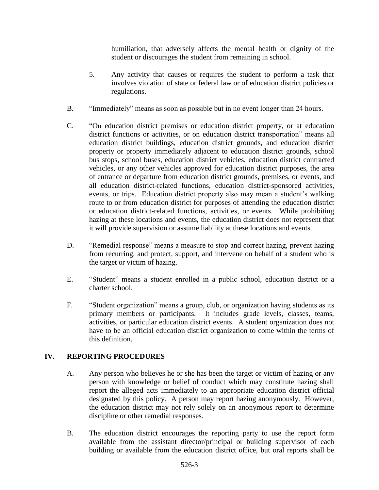humiliation, that adversely affects the mental health or dignity of the student or discourages the student from remaining in school.

- 5. Any activity that causes or requires the student to perform a task that involves violation of state or federal law or of education district policies or regulations.
- B. "Immediately" means as soon as possible but in no event longer than 24 hours.
- C. "On education district premises or education district property, or at education district functions or activities, or on education district transportation" means all education district buildings, education district grounds, and education district property or property immediately adjacent to education district grounds, school bus stops, school buses, education district vehicles, education district contracted vehicles, or any other vehicles approved for education district purposes, the area of entrance or departure from education district grounds, premises, or events, and all education district-related functions, education district-sponsored activities, events, or trips. Education district property also may mean a student's walking route to or from education district for purposes of attending the education district or education district-related functions, activities, or events. While prohibiting hazing at these locations and events, the education district does not represent that it will provide supervision or assume liability at these locations and events.
- D. "Remedial response" means a measure to stop and correct hazing, prevent hazing from recurring, and protect, support, and intervene on behalf of a student who is the target or victim of hazing.
- E. "Student" means a student enrolled in a public school, education district or a charter school.
- F. "Student organization" means a group, club, or organization having students as its primary members or participants. It includes grade levels, classes, teams, activities, or particular education district events. A student organization does not have to be an official education district organization to come within the terms of this definition.

# **IV. REPORTING PROCEDURES**

- A. Any person who believes he or she has been the target or victim of hazing or any person with knowledge or belief of conduct which may constitute hazing shall report the alleged acts immediately to an appropriate education district official designated by this policy. A person may report hazing anonymously. However, the education district may not rely solely on an anonymous report to determine discipline or other remedial responses.
- B. The education district encourages the reporting party to use the report form available from the assistant director/principal or building supervisor of each building or available from the education district office, but oral reports shall be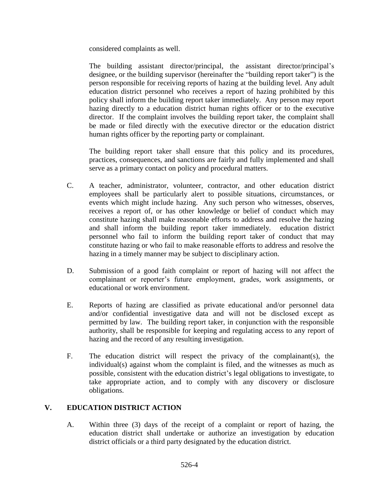considered complaints as well.

The building assistant director/principal, the assistant director/principal's designee, or the building supervisor (hereinafter the "building report taker") is the person responsible for receiving reports of hazing at the building level. Any adult education district personnel who receives a report of hazing prohibited by this policy shall inform the building report taker immediately. Any person may report hazing directly to a education district human rights officer or to the executive director. If the complaint involves the building report taker, the complaint shall be made or filed directly with the executive director or the education district human rights officer by the reporting party or complainant.

The building report taker shall ensure that this policy and its procedures, practices, consequences, and sanctions are fairly and fully implemented and shall serve as a primary contact on policy and procedural matters.

- C. A teacher, administrator, volunteer, contractor, and other education district employees shall be particularly alert to possible situations, circumstances, or events which might include hazing. Any such person who witnesses, observes, receives a report of, or has other knowledge or belief of conduct which may constitute hazing shall make reasonable efforts to address and resolve the hazing and shall inform the building report taker immediately. education district personnel who fail to inform the building report taker of conduct that may constitute hazing or who fail to make reasonable efforts to address and resolve the hazing in a timely manner may be subject to disciplinary action.
- D. Submission of a good faith complaint or report of hazing will not affect the complainant or reporter's future employment, grades, work assignments, or educational or work environment.
- E. Reports of hazing are classified as private educational and/or personnel data and/or confidential investigative data and will not be disclosed except as permitted by law. The building report taker, in conjunction with the responsible authority, shall be responsible for keeping and regulating access to any report of hazing and the record of any resulting investigation.
- F. The education district will respect the privacy of the complainant(s), the individual(s) against whom the complaint is filed, and the witnesses as much as possible, consistent with the education district's legal obligations to investigate, to take appropriate action, and to comply with any discovery or disclosure obligations.

# **V. EDUCATION DISTRICT ACTION**

A. Within three (3) days of the receipt of a complaint or report of hazing, the education district shall undertake or authorize an investigation by education district officials or a third party designated by the education district.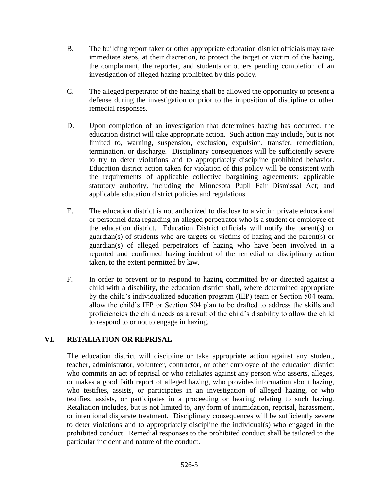- B. The building report taker or other appropriate education district officials may take immediate steps, at their discretion, to protect the target or victim of the hazing, the complainant, the reporter, and students or others pending completion of an investigation of alleged hazing prohibited by this policy.
- C. The alleged perpetrator of the hazing shall be allowed the opportunity to present a defense during the investigation or prior to the imposition of discipline or other remedial responses.
- D. Upon completion of an investigation that determines hazing has occurred, the education district will take appropriate action. Such action may include, but is not limited to, warning, suspension, exclusion, expulsion, transfer, remediation, termination, or discharge. Disciplinary consequences will be sufficiently severe to try to deter violations and to appropriately discipline prohibited behavior. Education district action taken for violation of this policy will be consistent with the requirements of applicable collective bargaining agreements; applicable statutory authority, including the Minnesota Pupil Fair Dismissal Act; and applicable education district policies and regulations.
- E. The education district is not authorized to disclose to a victim private educational or personnel data regarding an alleged perpetrator who is a student or employee of the education district. Education District officials will notify the parent(s) or guardian(s) of students who are targets or victims of hazing and the parent(s) or guardian(s) of alleged perpetrators of hazing who have been involved in a reported and confirmed hazing incident of the remedial or disciplinary action taken, to the extent permitted by law.
- F. In order to prevent or to respond to hazing committed by or directed against a child with a disability, the education district shall, where determined appropriate by the child's individualized education program (IEP) team or Section 504 team, allow the child's IEP or Section 504 plan to be drafted to address the skills and proficiencies the child needs as a result of the child's disability to allow the child to respond to or not to engage in hazing.

# **VI. RETALIATION OR REPRISAL**

The education district will discipline or take appropriate action against any student, teacher, administrator, volunteer, contractor, or other employee of the education district who commits an act of reprisal or who retaliates against any person who asserts, alleges, or makes a good faith report of alleged hazing, who provides information about hazing, who testifies, assists, or participates in an investigation of alleged hazing, or who testifies, assists, or participates in a proceeding or hearing relating to such hazing. Retaliation includes, but is not limited to, any form of intimidation, reprisal, harassment, or intentional disparate treatment. Disciplinary consequences will be sufficiently severe to deter violations and to appropriately discipline the individual(s) who engaged in the prohibited conduct. Remedial responses to the prohibited conduct shall be tailored to the particular incident and nature of the conduct.